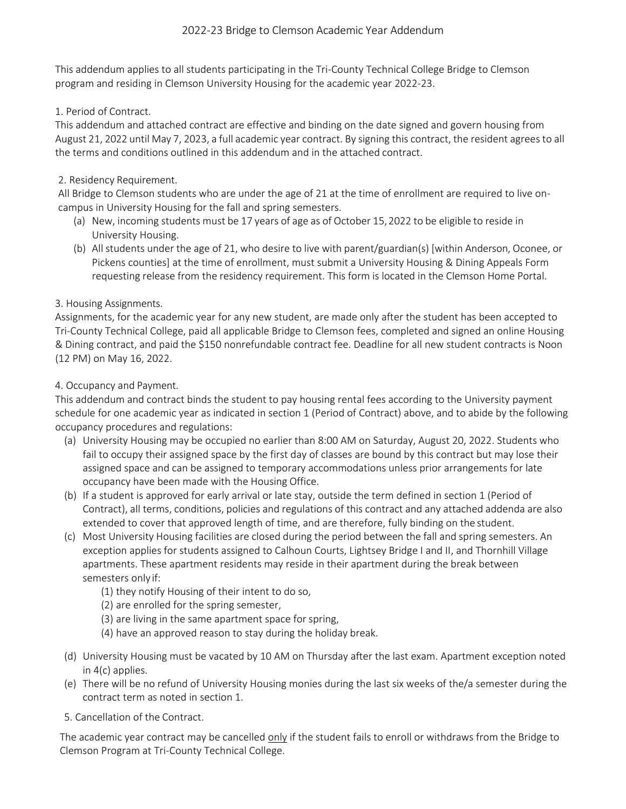# 2022-23 Bridge to Clemson Academic Year Addendum

This addendum applies to all students participating in the Tri-County Technical College Bridge to Clemson program and residing in Clemson University Housing for the academic year 2022-23.

## 1. Period of Contract.

This addendum and attached contract are effective and binding on the date signed and govern housing from August 21, 2022 until May 7, 2023, a full academic year contract. By signing this contract, the resident agrees to all the terms and conditions outlined in this addendum and in the attached contract.

## 2. Residency Requirement.

All Bridge to Clemson students who are under the age of 21 at the time of enrollment are required to live oncampus in University Housing for the fall and spring semesters.

- (a) New, incoming students must be 17 years of age as of October 15,2022 to be eligible to reside in University Housing.
- (b) All students under the age of 21, who desire to live with parent/guardian(s) [within Anderson, Oconee, or Pickens counties] at the time of enrollment, must submit a University Housing & Dining Appeals Form requesting release from the residency requirement. This form is located in the Clemson Home Portal.

## 3. Housing Assignments.

Assignments, for the academic year for any new student, are made only after the student has been accepted to Tri-County Technical College, paid all applicable Bridge to Clemson fees, completed and signed an online Housing & Dining contract, and paid the \$150 nonrefundable contract fee. Deadline for all new student contracts is Noon (12 PM) on May 16, 2022.

## 4. Occupancy and Payment.

This addendum and contract binds the student to pay housing rental fees according to the University payment schedule for one academic year as indicated in section 1 (Period of Contract) above, and to abide by the following occupancy procedures and regulations:

- (a) University Housing may be occupied no earlier than 8:00 AM on Saturday, August 20, 2022. Students who fail to occupy their assigned space by the first day of classes are bound by this contract but may lose their assigned space and can be assigned to temporary accommodations unless prior arrangements for late occupancy have been made with the Housing Office.
- (b) If a student is approved for early arrival or late stay, outside the term defined in section 1 (Period of Contract), all terms, conditions, policies and regulations of this contract and any attached addenda are also extended to cover that approved length of time, and are therefore, fully binding on the student.
- (c) Most University Housing facilities are closed during the period between the fall and spring semesters. An exception applies for students assigned to Calhoun Courts, Lightsey Bridge I and II, and Thornhill Village apartments. These apartment residents may reside in their apartment during the break between semesters only if:
	- (1) they notify Housing of their intent to do so,
	- (2) are enrolled for the spring semester,
	- (3) are living in the same apartment space for spring,
	- (4) have an approved reason to stay during the holiday break.
- (d) University Housing must be vacated by 10 AM on Thursday after the last exam. Apartment exception noted in 4(c) applies.
- (e) There will be no refund of University Housing monies during the last six weeks of the/a semester during the contract term as noted in section 1.
- 5. Cancellation of the Contract.

The academic year contract may be cancelled only if the student fails to enroll or withdraws from the Bridge to Clemson Program at Tri-County Technical College.